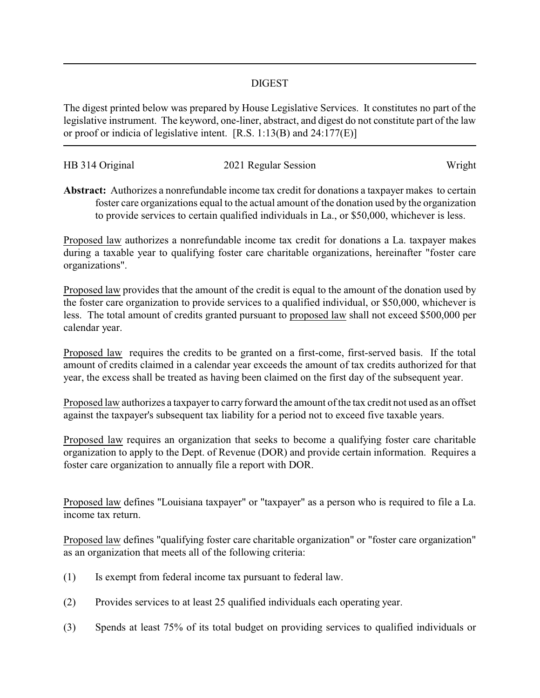## DIGEST

The digest printed below was prepared by House Legislative Services. It constitutes no part of the legislative instrument. The keyword, one-liner, abstract, and digest do not constitute part of the law or proof or indicia of legislative intent. [R.S. 1:13(B) and 24:177(E)]

| HB 314 Original | 2021 Regular Session | Wright |
|-----------------|----------------------|--------|
|                 |                      |        |

**Abstract:** Authorizes a nonrefundable income tax credit for donations a taxpayer makes to certain foster care organizations equal to the actual amount of the donation used by the organization to provide services to certain qualified individuals in La., or \$50,000, whichever is less.

Proposed law authorizes a nonrefundable income tax credit for donations a La. taxpayer makes during a taxable year to qualifying foster care charitable organizations, hereinafter "foster care organizations".

Proposed law provides that the amount of the credit is equal to the amount of the donation used by the foster care organization to provide services to a qualified individual, or \$50,000, whichever is less. The total amount of credits granted pursuant to proposed law shall not exceed \$500,000 per calendar year.

Proposed law requires the credits to be granted on a first-come, first-served basis. If the total amount of credits claimed in a calendar year exceeds the amount of tax credits authorized for that year, the excess shall be treated as having been claimed on the first day of the subsequent year.

Proposed law authorizes a taxpayer to carry forward the amount of the tax credit not used as an offset against the taxpayer's subsequent tax liability for a period not to exceed five taxable years.

Proposed law requires an organization that seeks to become a qualifying foster care charitable organization to apply to the Dept. of Revenue (DOR) and provide certain information. Requires a foster care organization to annually file a report with DOR.

Proposed law defines "Louisiana taxpayer" or "taxpayer" as a person who is required to file a La. income tax return.

Proposed law defines "qualifying foster care charitable organization" or "foster care organization" as an organization that meets all of the following criteria:

- (1) Is exempt from federal income tax pursuant to federal law.
- (2) Provides services to at least 25 qualified individuals each operating year.
- (3) Spends at least 75% of its total budget on providing services to qualified individuals or